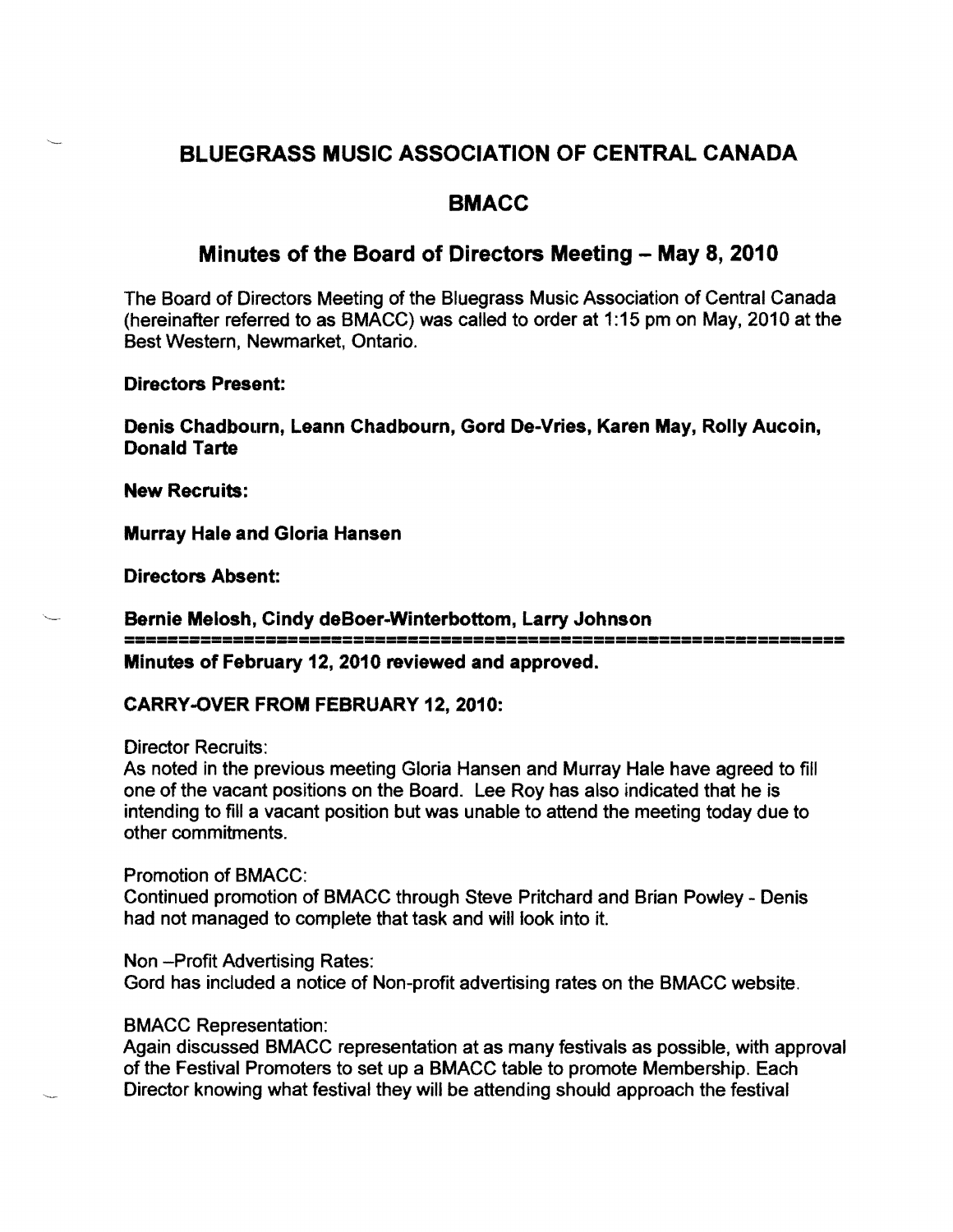# BLUEGRASS MUSIC ASSOCIATION OF CENTRAL CANADA

## BMACC

### Minutes of the Board of Directors Meeting - May 8, 2010

The Board of Directors Meeting of the Bluegrass Music Association of Central Canada (hereinafter referred to as BMACC) was called to order at 1:15 pm on May, 2010 at the Best Western, Newmarket, Ontario.

Directors Present:

Denis Chadbourn, Leann Chadbourn, Gord De-Vries, Karen May, Rolly Aucoin, Donald Tarte

New Recruits:

Murray Hale and Gloria Hansen

Directors Absent:

------------------------------------------------------------------ ------------------------------------------------------------------ Bernie Melosh, Cindy deBoer-Winterbottom, Larry Johnson Minutes of February 12,2010 reviewed and approved.

#### CARRY -OVER FROM FEBRUARY 12, 2010:

Director Recruits:

As noted in the previous meeting Gloria Hansen and Murray Hale have agreed to fill one of the vacant positions on the Board. Lee Roy has also indicated that he is intending to fill a vacant position but was unable to attend the meeting today due to other commitments.

Promotion of BMACC:

Continued promotion of BMACC through Steve Pritchard and Brian Powley - Denis had not managed to complete that task and will look into it.

Non -Profit Advertising Rates: Gord has included a notice of Non-profit advertising rates on the BMACC website.

#### BMACC Representation:

Again discussed BMACC representation at as many festivals as possible, with approval of the Festival Promoters to set up a BMACC table to promote Membership. Each Director knowing what festival they will be attending should approach the festival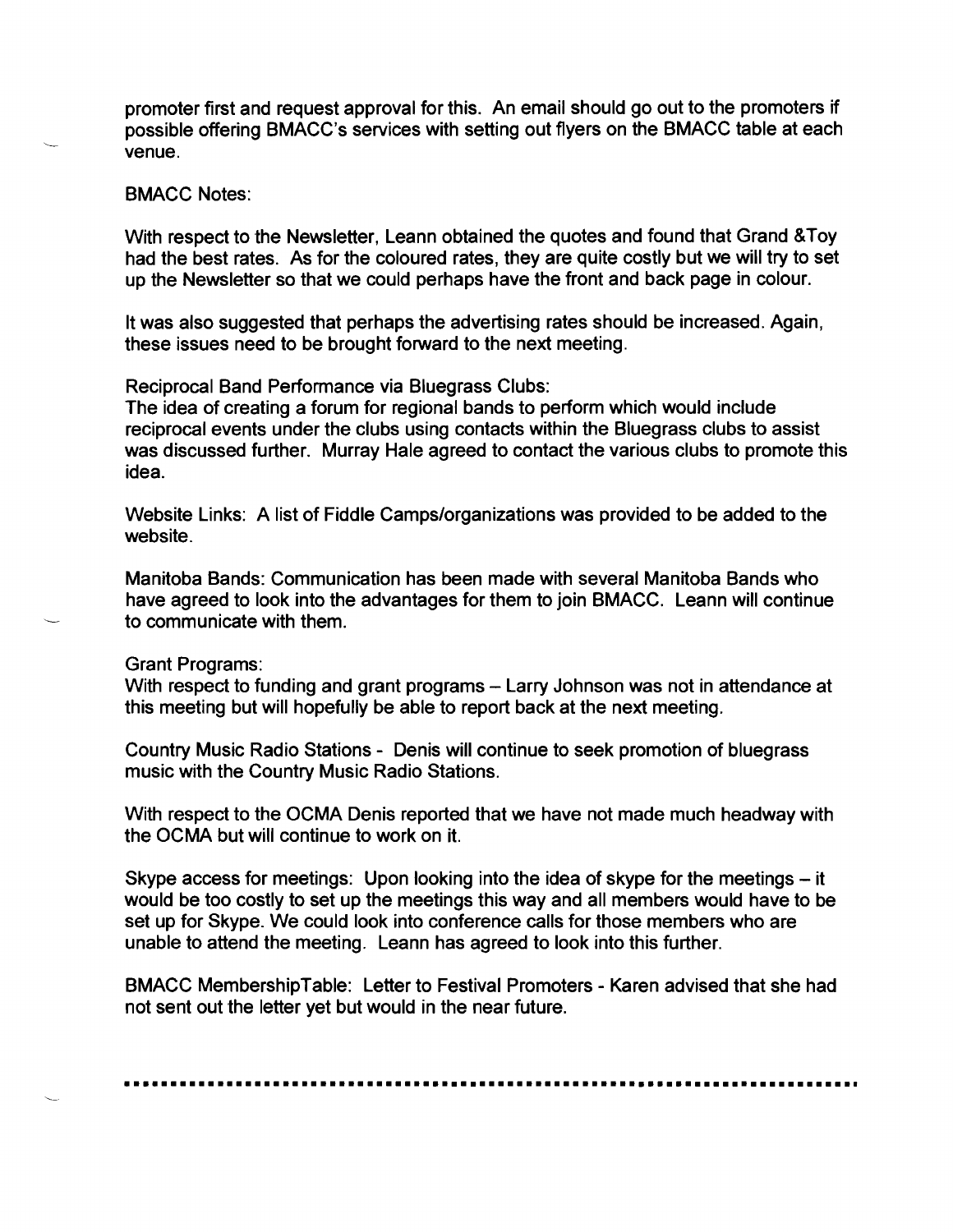promoter first and request approval for this. An email should go out to the promoters if possible offering BMACC's services with setting out flyers on the BMACC table at each venue.

#### BMACC Notes:

With respect to the Newsletter, Leann obtained the quotes and found that Grand &Toy had the best rates. As for the coloured rates, they are quite costly but we will try to set up the Newsletter so that we could perhaps have the front and back page in colour.

It was also suggested that perhaps the advertising rates should be increased. Again, these issues need to be brought forward to the next meeting.

Reciprocal Band Performance via Bluegrass Clubs:

The idea of creating a forum for regional bands to perform which would include reciprocal events under the clubs using contacts within the Bluegrass clubs to assist was discussed further. Murray Hale agreed to contact the various clubs to promote this idea.

Website Links: A list of Fiddle Camps/organizations was provided to be added to the website.

Manitoba Bands: Communication has been made with several Manitoba Bands who have agreed to look into the advantages for them to join BMACC. Leann will continue to communicate with them.

Grant Programs:

With respect to funding and grant programs – Larry Johnson was not in attendance at this meeting but will hopefully be able to report back at the next meeting.

Country Music Radio Stations - Denis will continue to seek promotion of bluegrass music with the Country Music Radio Stations.

With respect to the OCMA Denis reported that we have not made much headway with the OCMA but will continue to work on it.

Skype access for meetings: Upon looking into the idea of skype for the meetings – it would be too costly to set up the meetings this way and all members would have to be set up for Skype. We could look into conference calls for those members who are unable to attend the meeting. Leann has agreed to look into this further.

BMACC MembershipTable: Letter to Festival Promoters - Karen advised that she had not sent out the letter yet but would in the near future.

**•••••••••••••••••••••••••••••••••••••••••••••••••••••••••••••••••••••••••••••••**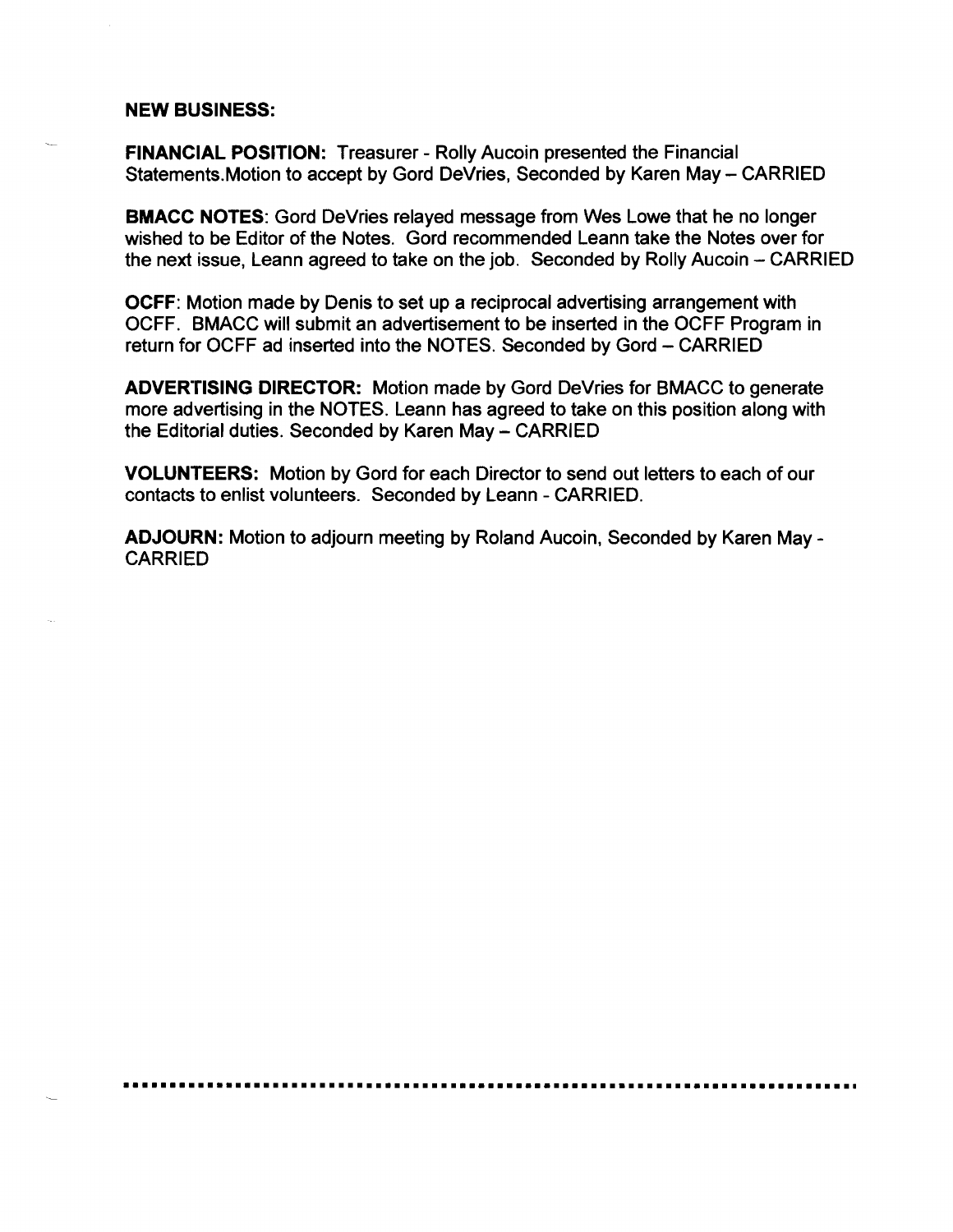#### NEW BUSINESS:

FINANCIAL POSITION: Treasurer - Rolly Aucoin presented the Financial Statements. Motion to accept by Gord DeVries, Seconded by Karen May - CARRIED

BMACC NOTES: Gord DeVries relayed message from Wes Lowe that he no longer wished to be Editor of the Notes. Gord recommended Leann take the Notes over for the next issue, Leann agreed to take on the job. Seconded by Rolly Aucoin - CARRIED

OCFF: Motion made by Denis to set up a reciprocal advertising arrangement with OCFF. BMACC will submit an advertisement to be inserted in the OCFF Program in return for OCFF ad inserted into the NOTES. Seconded by Gord - CARRIED

ADVERTISING DIRECTOR: Motion made by Gord DeVries for BMACC to generate more advertising in the NOTES. Leann has agreed to take on this position along with the Editorial duties. Seconded by Karen May - CARRIED

VOLUNTEERS: Motion by Gord for each Director to send out letters to each of our contacts to enlist volunteers. Seconded by Leann - CARRIED.

ADJOURN: Motion to adjourn meeting by Roland Aucoin, Seconded by Karen May CARRIED

**•••••••••••••••••••••••••••••••••••••••••••••••••••••••••••••••••••••••••••••••**